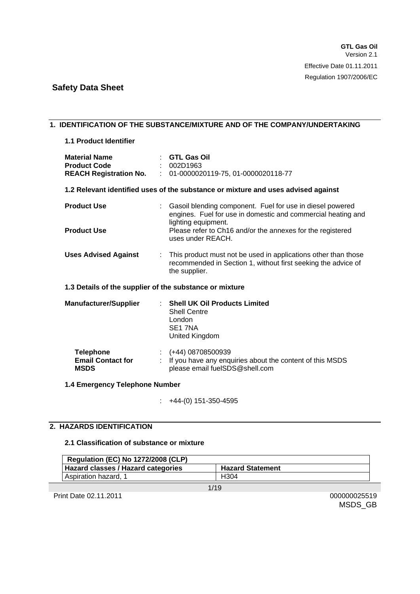#### **1. IDENTIFICATION OF THE SUBSTANCE/MIXTURE AND OF THE COMPANY/UNDERTAKING**

#### **1.1 Product Identifier**

| <b>Material Name</b><br><b>Product Code</b>                 | : GTL Gas Oil<br>: 002D1963<br><b>REACH Registration No. : 01-0000020119-75, 01-0000020118-77</b>                                                  |
|-------------------------------------------------------------|----------------------------------------------------------------------------------------------------------------------------------------------------|
|                                                             | 1.2 Relevant identified uses of the substance or mixture and uses advised against                                                                  |
| <b>Product Use</b>                                          | : Gasoil blending component. Fuel for use in diesel powered<br>engines. Fuel for use in domestic and commercial heating and                        |
| <b>Product Use</b>                                          | lighting equipment.<br>Please refer to Ch16 and/or the annexes for the registered<br>uses under REACH.                                             |
| <b>Uses Advised Against</b>                                 | : This product must not be used in applications other than those<br>recommended in Section 1, without first seeking the advice of<br>the supplier. |
| 1.3 Details of the supplier of the substance or mixture     |                                                                                                                                                    |
| <b>Manufacturer/Supplier</b>                                | : Shell UK Oil Products Limited<br><b>Shell Centre</b><br>London<br>SE <sub>1</sub> 7NA<br>United Kingdom                                          |
| <b>Telephone</b><br><b>Email Contact for</b><br><b>MSDS</b> | $\div$ (+44) 08708500939<br>If you have any enquiries about the content of this MSDS<br>please email fueISDS@shell.com                             |

### **1.4 Emergency Telephone Number**

:  $+44-(0)$  151-350-4595

### **2. HAZARDS IDENTIFICATION**

#### **2.1 Classification of substance or mixture**

| <b>Regulation (EC) No 1272/2008 (CLP)</b> |                         |
|-------------------------------------------|-------------------------|
| Hazard classes / Hazard categories        | <b>Hazard Statement</b> |
| Aspiration hazard, 1                      | H <sub>304</sub>        |

1/19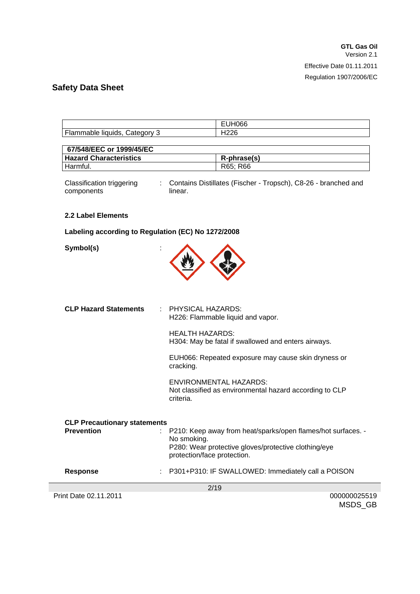|                                                                                  | $\sim$ $\sim$<br>lubb<br>- |
|----------------------------------------------------------------------------------|----------------------------|
| Flam.<br>:ategory<br>mable.<br>liat<br>uıds<br>$\overline{\phantom{a}}$<br>sacoa | <br>.                      |

| 67/548/EEC or 1999/45/EC      |             |
|-------------------------------|-------------|
| <b>Hazard Characteristics</b> | R-phrase(s) |
| Harmful.                      | R65: R66    |

Classification triggering components : Contains Distillates (Fischer - Tropsch), C8-26 - branched and linear.

### **2.2 Label Elements**

### **Labeling according to Regulation (EC) No 1272/2008**

**Symbol(s)** :



| <b>CLP Hazard Statements</b>        | : PHYSICAL HAZARDS:<br>H226: Flammable liquid and vapor.                                                                                                           |
|-------------------------------------|--------------------------------------------------------------------------------------------------------------------------------------------------------------------|
|                                     | <b>HEALTH HAZARDS:</b><br>H304: May be fatal if swallowed and enters airways.                                                                                      |
|                                     | EUH066: Repeated exposure may cause skin dryness or<br>cracking.                                                                                                   |
|                                     | ENVIRONMENTAL HAZARDS:<br>Not classified as environmental hazard according to CLP<br>criteria.                                                                     |
| <b>CLP Precautionary statements</b> |                                                                                                                                                                    |
| <b>Prevention</b><br>÷.             | P210: Keep away from heat/sparks/open flames/hot surfaces. -<br>No smoking.<br>P280: Wear protective gloves/protective clothing/eye<br>protection/face protection. |
| <b>Response</b>                     | : P301+P310: IF SWALLOWED: Immediately call a POISON                                                                                                               |
|                                     | 2/19                                                                                                                                                               |
| Print Date 02.11.2011               | 000000025519                                                                                                                                                       |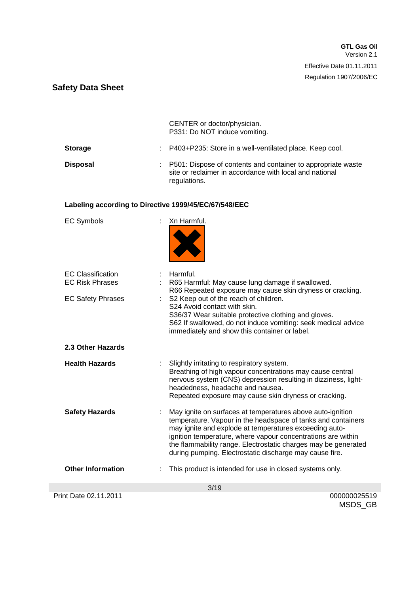|                 | CENTER or doctor/physician.<br>P331: Do NOT induce vomiting.                                                                              |
|-----------------|-------------------------------------------------------------------------------------------------------------------------------------------|
| <b>Storage</b>  | : P403+P235: Store in a well-ventilated place. Keep cool.                                                                                 |
| <b>Disposal</b> | : P501: Dispose of contents and container to appropriate waste<br>site or reclaimer in accordance with local and national<br>regulations. |

### **Labeling according to Directive 1999/45/EC/67/548/EEC**

| <b>EC Symbols</b>                                  | Xn Harmful.                                                                                                                                                                                                                                                                                                                                                                       |
|----------------------------------------------------|-----------------------------------------------------------------------------------------------------------------------------------------------------------------------------------------------------------------------------------------------------------------------------------------------------------------------------------------------------------------------------------|
| <b>EC Classification</b><br><b>EC Risk Phrases</b> | Harmful.<br>R65 Harmful: May cause lung damage if swallowed.<br>R66 Repeated exposure may cause skin dryness or cracking.                                                                                                                                                                                                                                                         |
| <b>EC Safety Phrases</b>                           | S2 Keep out of the reach of children.<br>S24 Avoid contact with skin.<br>S36/37 Wear suitable protective clothing and gloves.<br>S62 If swallowed, do not induce vomiting: seek medical advice<br>immediately and show this container or label.                                                                                                                                   |
| 2.3 Other Hazards                                  |                                                                                                                                                                                                                                                                                                                                                                                   |
| <b>Health Hazards</b>                              | Slightly irritating to respiratory system.<br>Breathing of high vapour concentrations may cause central<br>nervous system (CNS) depression resulting in dizziness, light-<br>headedness, headache and nausea.<br>Repeated exposure may cause skin dryness or cracking.                                                                                                            |
| <b>Safety Hazards</b>                              | May ignite on surfaces at temperatures above auto-ignition<br>temperature. Vapour in the headspace of tanks and containers<br>may ignite and explode at temperatures exceeding auto-<br>ignition temperature, where vapour concentrations are within<br>the flammability range. Electrostatic charges may be generated<br>during pumping. Electrostatic discharge may cause fire. |
| <b>Other Information</b>                           | This product is intended for use in closed systems only.                                                                                                                                                                                                                                                                                                                          |
|                                                    | 3/19                                                                                                                                                                                                                                                                                                                                                                              |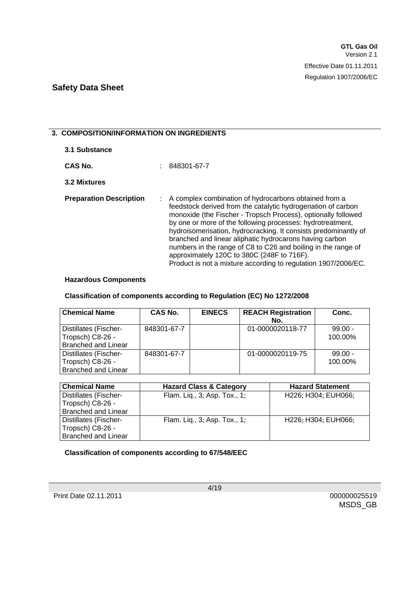### **3. COMPOSITION/INFORMATION ON INGREDIENTS**

| 3.1 Substance                  |                                                                                                                                                                                                                                                                                                                                                                                                                                                                                                                                                                       |
|--------------------------------|-----------------------------------------------------------------------------------------------------------------------------------------------------------------------------------------------------------------------------------------------------------------------------------------------------------------------------------------------------------------------------------------------------------------------------------------------------------------------------------------------------------------------------------------------------------------------|
| CAS No.                        | 848301-67-7                                                                                                                                                                                                                                                                                                                                                                                                                                                                                                                                                           |
| 3.2 Mixtures                   |                                                                                                                                                                                                                                                                                                                                                                                                                                                                                                                                                                       |
| <b>Preparation Description</b> | : A complex combination of hydrocarbons obtained from a<br>feedstock derived from the catalytic hydrogenation of carbon<br>monoxide (the Fischer - Tropsch Process), optionally followed<br>by one or more of the following processes: hydrotreatment,<br>hydroisomerisation, hydrocracking. It consists predominantly of<br>branched and linear aliphatic hydrocarons having carbon<br>numbers in the range of C8 to C26 and boiling in the range of<br>approximately 120C to 380C (248F to 716F).<br>Product is not a mixture according to regulation 1907/2006/EC. |

#### **Hazardous Components**

#### **Classification of components according to Regulation (EC) No 1272/2008**

| <b>Chemical Name</b>                                                    | <b>CAS No.</b> | <b>EINECS</b> | <b>REACH Registration</b><br>No. | Conc.                |
|-------------------------------------------------------------------------|----------------|---------------|----------------------------------|----------------------|
| Distillates (Fischer-<br>Tropsch) C8-26 -<br><b>Branched and Linear</b> | 848301-67-7    |               | 01-0000020118-77                 | $99.00 -$<br>100.00% |
| Distillates (Fischer-<br>Tropsch) C8-26 -<br><b>Branched and Linear</b> | 848301-67-7    |               | 01-0000020119-75                 | $99.00 -$<br>100.00% |

| <b>Chemical Name</b>         | <b>Hazard Class &amp; Category</b> | <b>Hazard Statement</b> |
|------------------------------|------------------------------------|-------------------------|
| <b>Distillates (Fischer-</b> | Flam. Liq., 3; Asp. Tox., 1;       | H226; H304; EUH066;     |
| Tropsch) C8-26 -             |                                    |                         |
| <b>Branched and Linear</b>   |                                    |                         |
| Distillates (Fischer-        | Flam. Liq., 3; Asp. Tox., 1;       | H226: H304: EUH066:     |
| Tropsch) C8-26 -             |                                    |                         |
| <b>Branched and Linear</b>   |                                    |                         |

### **Classification of components according to 67/548/EEC**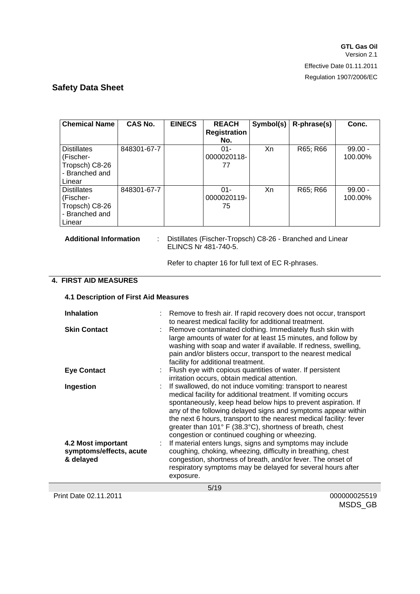| <b>Chemical Name</b>                                                          | CAS No.     | <b>EINECS</b> | <b>REACH</b><br><b>Registration</b><br>No. | Symbol(s) | R-phrase(s) | Conc.                |
|-------------------------------------------------------------------------------|-------------|---------------|--------------------------------------------|-----------|-------------|----------------------|
| <b>Distillates</b><br>(Fischer-<br>Tropsch) C8-26<br>- Branched and<br>Linear | 848301-67-7 |               | $01 -$<br>0000020118-<br>77                | Xn        | R65; R66    | $99.00 -$<br>100.00% |
| <b>Distillates</b><br>(Fischer-<br>Tropsch) C8-26<br>- Branched and<br>Linear | 848301-67-7 |               | $01 -$<br>0000020119-<br>75                | Xn        | R65; R66    | $99.00 -$<br>100.00% |

**Additional Information** : Distillates (Fischer-Tropsch) C8-26 - Branched and Linear ELINCS Nr 481-740-5.

Refer to chapter 16 for full text of EC R-phrases.

### **4. FIRST AID MEASURES**

#### **4.1 Description of First Aid Measures**

| <b>Inhalation</b>                                          | : Remove to fresh air. If rapid recovery does not occur, transport<br>to nearest medical facility for additional treatment.                                                                                                                                                                                                                                                                                                                        |
|------------------------------------------------------------|----------------------------------------------------------------------------------------------------------------------------------------------------------------------------------------------------------------------------------------------------------------------------------------------------------------------------------------------------------------------------------------------------------------------------------------------------|
| <b>Skin Contact</b>                                        | Remove contaminated clothing. Immediately flush skin with<br>large amounts of water for at least 15 minutes, and follow by<br>washing with soap and water if available. If redness, swelling,<br>pain and/or blisters occur, transport to the nearest medical<br>facility for additional treatment.                                                                                                                                                |
| <b>Eye Contact</b>                                         | : Flush eye with copious quantities of water. If persistent<br>irritation occurs, obtain medical attention.                                                                                                                                                                                                                                                                                                                                        |
| Ingestion                                                  | : If swallowed, do not induce vomiting: transport to nearest<br>medical facility for additional treatment. If vomiting occurs<br>spontaneously, keep head below hips to prevent aspiration. If<br>any of the following delayed signs and symptoms appear within<br>the next 6 hours, transport to the nearest medical facility: fever<br>greater than 101° F (38.3°C), shortness of breath, chest<br>congestion or continued coughing or wheezing. |
| 4.2 Most important<br>symptoms/effects, acute<br>& delayed | If material enters lungs, signs and symptoms may include<br>coughing, choking, wheezing, difficulty in breathing, chest<br>congestion, shortness of breath, and/or fever. The onset of<br>respiratory symptoms may be delayed for several hours after<br>exposure.                                                                                                                                                                                 |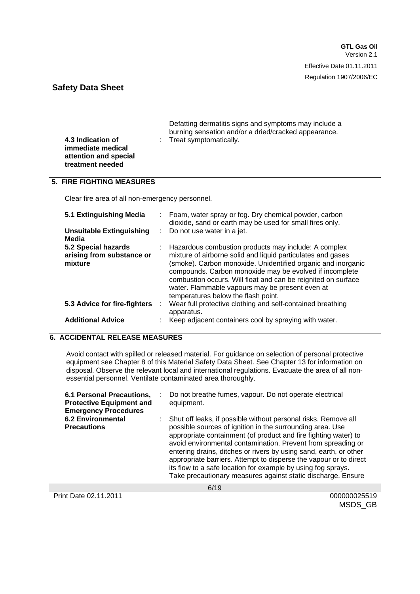**GTL Gas Oil** Version 2.1 Effective Date 01.11.2011 Regulation 1907/2006/EC

### **Safety Data Sheet**

**4.3 Indication of immediate medical attention and special treatment needed**

 Defatting dermatitis signs and symptoms may include a burning sensation and/or a dried/cracked appearance. : Treat symptomatically.

### **5. FIRE FIGHTING MEASURES**

Clear fire area of all non-emergency personnel.

| 5.1 Extinguishing Media<br><b>Unsuitable Extinguishing</b>  |   | : Foam, water spray or fog. Dry chemical powder, carbon<br>dioxide, sand or earth may be used for small fires only.<br>: Do not use water in a jet.                                                                                                                                                                                                                                                         |
|-------------------------------------------------------------|---|-------------------------------------------------------------------------------------------------------------------------------------------------------------------------------------------------------------------------------------------------------------------------------------------------------------------------------------------------------------------------------------------------------------|
| Media                                                       |   |                                                                                                                                                                                                                                                                                                                                                                                                             |
| 5.2 Special hazards<br>arising from substance or<br>mixture |   | : Hazardous combustion products may include: A complex<br>mixture of airborne solid and liquid particulates and gases<br>(smoke). Carbon monoxide. Unidentified organic and inorganic<br>compounds. Carbon monoxide may be evolved if incomplete<br>combustion occurs. Will float and can be reignited on surface<br>water. Flammable vapours may be present even at<br>temperatures below the flash point. |
| 5.3 Advice for fire-fighters                                | ÷ | Wear full protective clothing and self-contained breathing<br>apparatus.                                                                                                                                                                                                                                                                                                                                    |
| <b>Additional Advice</b>                                    |   | Keep adjacent containers cool by spraying with water.                                                                                                                                                                                                                                                                                                                                                       |

### **6. ACCIDENTAL RELEASE MEASURES**

Avoid contact with spilled or released material. For guidance on selection of personal protective equipment see Chapter 8 of this Material Safety Data Sheet. See Chapter 13 for information on disposal. Observe the relevant local and international regulations. Evacuate the area of all nonessential personnel. Ventilate contaminated area thoroughly.

| 6.1 Personal Precautions,<br><b>Protective Equipment and</b><br><b>Emergency Procedures</b> | Do not breathe fumes, vapour. Do not operate electrical<br>equipment.                                                                                                                                                                                                                                                                                                                                                                                                                                                                    |
|---------------------------------------------------------------------------------------------|------------------------------------------------------------------------------------------------------------------------------------------------------------------------------------------------------------------------------------------------------------------------------------------------------------------------------------------------------------------------------------------------------------------------------------------------------------------------------------------------------------------------------------------|
| <b>6.2 Environmental</b><br><b>Precautions</b>                                              | Shut off leaks, if possible without personal risks. Remove all<br>possible sources of ignition in the surrounding area. Use<br>appropriate containment (of product and fire fighting water) to<br>avoid environmental contamination. Prevent from spreading or<br>entering drains, ditches or rivers by using sand, earth, or other<br>appropriate barriers. Attempt to disperse the vapour or to direct<br>its flow to a safe location for example by using fog sprays.<br>Take precautionary measures against static discharge. Ensure |

Print Date 02.11.2011 **Date 02.11.2011** 000000025519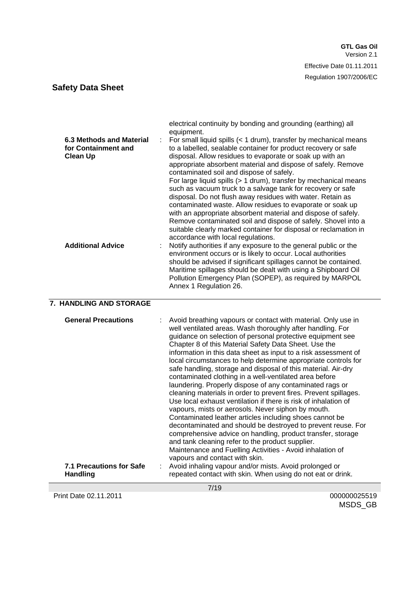| 6.3 Methods and Material<br>for Containment and<br><b>Clean Up</b> | electrical continuity by bonding and grounding (earthing) all<br>equipment.<br>For small liquid spills (< 1 drum), transfer by mechanical means<br>to a labelled, sealable container for product recovery or safe<br>disposal. Allow residues to evaporate or soak up with an<br>appropriate absorbent material and dispose of safely. Remove<br>contaminated soil and dispose of safely.<br>For large liquid spills (> 1 drum), transfer by mechanical means<br>such as vacuum truck to a salvage tank for recovery or safe<br>disposal. Do not flush away residues with water. Retain as<br>contaminated waste. Allow residues to evaporate or soak up<br>with an appropriate absorbent material and dispose of safely.<br>Remove contaminated soil and dispose of safely. Shovel into a<br>suitable clearly marked container for disposal or reclamation in<br>accordance with local regulations. |
|--------------------------------------------------------------------|------------------------------------------------------------------------------------------------------------------------------------------------------------------------------------------------------------------------------------------------------------------------------------------------------------------------------------------------------------------------------------------------------------------------------------------------------------------------------------------------------------------------------------------------------------------------------------------------------------------------------------------------------------------------------------------------------------------------------------------------------------------------------------------------------------------------------------------------------------------------------------------------------|
| <b>Additional Advice</b>                                           | Notify authorities if any exposure to the general public or the<br>environment occurs or is likely to occur. Local authorities<br>should be advised if significant spillages cannot be contained.<br>Maritime spillages should be dealt with using a Shipboard Oil<br>Pollution Emergency Plan (SOPEP), as required by MARPOL<br>Annex 1 Regulation 26.                                                                                                                                                                                                                                                                                                                                                                                                                                                                                                                                              |

### **7. HANDLING AND STORAGE**

| <b>General Precautions</b>                         | Avoid breathing vapours or contact with material. Only use in<br>well ventilated areas. Wash thoroughly after handling. For<br>guidance on selection of personal protective equipment see<br>Chapter 8 of this Material Safety Data Sheet. Use the<br>information in this data sheet as input to a risk assessment of<br>local circumstances to help determine appropriate controls for<br>safe handling, storage and disposal of this material. Air-dry<br>contaminated clothing in a well-ventilated area before<br>laundering. Properly dispose of any contaminated rags or<br>cleaning materials in order to prevent fires. Prevent spillages.<br>Use local exhaust ventilation if there is risk of inhalation of<br>vapours, mists or aerosols. Never siphon by mouth.<br>Contaminated leather articles including shoes cannot be<br>decontaminated and should be destroyed to prevent reuse. For<br>comprehensive advice on handling, product transfer, storage<br>and tank cleaning refer to the product supplier.<br>Maintenance and Fuelling Activities - Avoid inhalation of<br>vapours and contact with skin. |  |
|----------------------------------------------------|--------------------------------------------------------------------------------------------------------------------------------------------------------------------------------------------------------------------------------------------------------------------------------------------------------------------------------------------------------------------------------------------------------------------------------------------------------------------------------------------------------------------------------------------------------------------------------------------------------------------------------------------------------------------------------------------------------------------------------------------------------------------------------------------------------------------------------------------------------------------------------------------------------------------------------------------------------------------------------------------------------------------------------------------------------------------------------------------------------------------------|--|
| <b>7.1 Precautions for Safe</b><br><b>Handling</b> | Avoid inhaling vapour and/or mists. Avoid prolonged or<br>repeated contact with skin. When using do not eat or drink.                                                                                                                                                                                                                                                                                                                                                                                                                                                                                                                                                                                                                                                                                                                                                                                                                                                                                                                                                                                                    |  |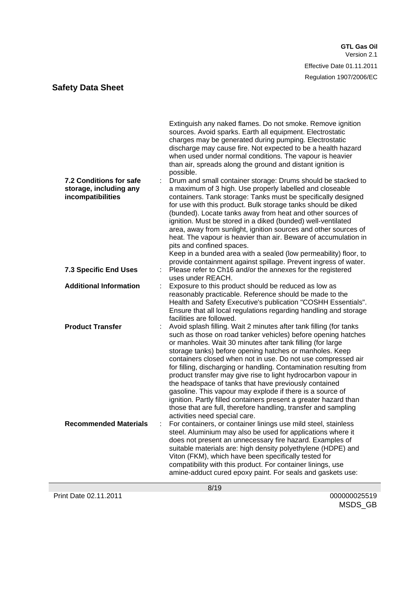| 7.2 Conditions for safe<br>storage, including any<br>incompatibilities | Extinguish any naked flames. Do not smoke. Remove ignition<br>sources. Avoid sparks. Earth all equipment. Electrostatic<br>charges may be generated during pumping. Electrostatic<br>discharge may cause fire. Not expected to be a health hazard<br>when used under normal conditions. The vapour is heavier<br>than air, spreads along the ground and distant ignition is<br>possible.<br>Drum and small container storage: Drums should be stacked to<br>a maximum of 3 high. Use properly labelled and closeable<br>containers. Tank storage: Tanks must be specifically designed<br>for use with this product. Bulk storage tanks should be diked<br>(bunded). Locate tanks away from heat and other sources of<br>ignition. Must be stored in a diked (bunded) well-ventilated<br>area, away from sunlight, ignition sources and other sources of<br>heat. The vapour is heavier than air. Beware of accumulation in<br>pits and confined spaces.<br>Keep in a bunded area with a sealed (low permeability) floor, to<br>provide containment against spillage. Prevent ingress of water. |
|------------------------------------------------------------------------|------------------------------------------------------------------------------------------------------------------------------------------------------------------------------------------------------------------------------------------------------------------------------------------------------------------------------------------------------------------------------------------------------------------------------------------------------------------------------------------------------------------------------------------------------------------------------------------------------------------------------------------------------------------------------------------------------------------------------------------------------------------------------------------------------------------------------------------------------------------------------------------------------------------------------------------------------------------------------------------------------------------------------------------------------------------------------------------------|
| <b>7.3 Specific End Uses</b>                                           | Please refer to Ch16 and/or the annexes for the registered<br>uses under REACH.                                                                                                                                                                                                                                                                                                                                                                                                                                                                                                                                                                                                                                                                                                                                                                                                                                                                                                                                                                                                                |
| <b>Additional Information</b>                                          | Exposure to this product should be reduced as low as<br>reasonably practicable. Reference should be made to the                                                                                                                                                                                                                                                                                                                                                                                                                                                                                                                                                                                                                                                                                                                                                                                                                                                                                                                                                                                |
| <b>Product Transfer</b>                                                | Health and Safety Executive's publication "COSHH Essentials".<br>Ensure that all local regulations regarding handling and storage<br>facilities are followed.<br>Avoid splash filling. Wait 2 minutes after tank filling (for tanks<br>such as those on road tanker vehicles) before opening hatches<br>or manholes. Wait 30 minutes after tank filling (for large<br>storage tanks) before opening hatches or manholes. Keep<br>containers closed when not in use. Do not use compressed air<br>for filling, discharging or handling. Contamination resulting from<br>product transfer may give rise to light hydrocarbon vapour in<br>the headspace of tanks that have previously contained<br>gasoline. This vapour may explode if there is a source of<br>ignition. Partly filled containers present a greater hazard than<br>those that are full, therefore handling, transfer and sampling<br>activities need special care.                                                                                                                                                              |
| <b>Recommended Materials</b><br>÷                                      | For containers, or container linings use mild steel, stainless<br>steel. Aluminium may also be used for applications where it                                                                                                                                                                                                                                                                                                                                                                                                                                                                                                                                                                                                                                                                                                                                                                                                                                                                                                                                                                  |
|                                                                        | does not present an unnecessary fire hazard. Examples of<br>suitable materials are: high density polyethylene (HDPE) and<br>Viton (FKM), which have been specifically tested for<br>compatibility with this product. For container linings, use<br>amine-adduct cured epoxy paint. For seals and gaskets use:                                                                                                                                                                                                                                                                                                                                                                                                                                                                                                                                                                                                                                                                                                                                                                                  |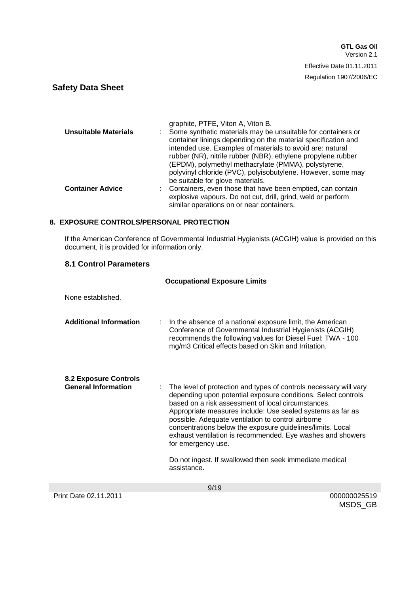|                         | graphite, PTFE, Viton A, Viton B.                                                                                                                                                                                                                                                                                                                                                                                      |
|-------------------------|------------------------------------------------------------------------------------------------------------------------------------------------------------------------------------------------------------------------------------------------------------------------------------------------------------------------------------------------------------------------------------------------------------------------|
| Unsuitable Materials    | Some synthetic materials may be unsuitable for containers or<br>container linings depending on the material specification and<br>intended use. Examples of materials to avoid are: natural<br>rubber (NR), nitrile rubber (NBR), ethylene propylene rubber<br>(EPDM), polymethyl methacrylate (PMMA), polystyrene,<br>polyvinyl chloride (PVC), polyisobutylene. However, some may<br>be suitable for glove materials. |
| <b>Container Advice</b> | : Containers, even those that have been emptied, can contain<br>explosive vapours. Do not cut, drill, grind, weld or perform<br>similar operations on or near containers.                                                                                                                                                                                                                                              |

### **8. EXPOSURE CONTROLS/PERSONAL PROTECTION**

If the American Conference of Governmental Industrial Hygienists (ACGIH) value is provided on this document, it is provided for information only.

### **8.1 Control Parameters**

|                                                     | <b>Occupational Exposure Limits</b>                                                                                                                                                                                                                                                                                                                                                                                                                                                                                                      |
|-----------------------------------------------------|------------------------------------------------------------------------------------------------------------------------------------------------------------------------------------------------------------------------------------------------------------------------------------------------------------------------------------------------------------------------------------------------------------------------------------------------------------------------------------------------------------------------------------------|
| None established.                                   |                                                                                                                                                                                                                                                                                                                                                                                                                                                                                                                                          |
| <b>Additional Information</b>                       | In the absence of a national exposure limit, the American<br>Conference of Governmental Industrial Hygienists (ACGIH)<br>recommends the following values for Diesel Fuel: TWA - 100<br>mg/m3 Critical effects based on Skin and Irritation.                                                                                                                                                                                                                                                                                              |
| 8.2 Exposure Controls<br><b>General Information</b> | The level of protection and types of controls necessary will vary<br>depending upon potential exposure conditions. Select controls<br>based on a risk assessment of local circumstances.<br>Appropriate measures include: Use sealed systems as far as<br>possible. Adequate ventilation to control airborne<br>concentrations below the exposure guidelines/limits. Local<br>exhaust ventilation is recommended. Eye washes and showers<br>for emergency use.<br>Do not ingest. If swallowed then seek immediate medical<br>assistance. |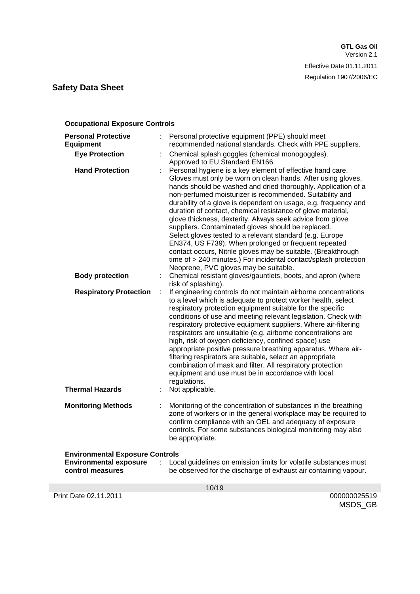| <b>Occupational Exposure Controls</b>                                                                                                                                                  |        |                                                                                                                                                                                                                                                                                                                                                                                                                                                                                                                                                                                                                                                                                                                                                                                                                                                                                                                                                                                                                                                                                                                                                                                                                                                                                                                                                                                                                                                                                                                                                                                                                                                                                                                                                                                                                                                               |  |  |
|----------------------------------------------------------------------------------------------------------------------------------------------------------------------------------------|--------|---------------------------------------------------------------------------------------------------------------------------------------------------------------------------------------------------------------------------------------------------------------------------------------------------------------------------------------------------------------------------------------------------------------------------------------------------------------------------------------------------------------------------------------------------------------------------------------------------------------------------------------------------------------------------------------------------------------------------------------------------------------------------------------------------------------------------------------------------------------------------------------------------------------------------------------------------------------------------------------------------------------------------------------------------------------------------------------------------------------------------------------------------------------------------------------------------------------------------------------------------------------------------------------------------------------------------------------------------------------------------------------------------------------------------------------------------------------------------------------------------------------------------------------------------------------------------------------------------------------------------------------------------------------------------------------------------------------------------------------------------------------------------------------------------------------------------------------------------------------|--|--|
| <b>Personal Protective</b><br><b>Equipment</b><br><b>Eye Protection</b><br><b>Hand Protection</b><br><b>Body protection</b><br><b>Respiratory Protection</b><br><b>Thermal Hazards</b> | t<br>÷ | Personal protective equipment (PPE) should meet<br>recommended national standards. Check with PPE suppliers.<br>Chemical splash goggles (chemical monogoggles).<br>Approved to EU Standard EN166.<br>Personal hygiene is a key element of effective hand care.<br>Gloves must only be worn on clean hands. After using gloves,<br>hands should be washed and dried thoroughly. Application of a<br>non-perfumed moisturizer is recommended. Suitability and<br>durability of a glove is dependent on usage, e.g. frequency and<br>duration of contact, chemical resistance of glove material,<br>glove thickness, dexterity. Always seek advice from glove<br>suppliers. Contaminated gloves should be replaced.<br>Select gloves tested to a relevant standard (e.g. Europe<br>EN374, US F739). When prolonged or frequent repeated<br>contact occurs, Nitrile gloves may be suitable. (Breakthrough<br>time of > 240 minutes.) For incidental contact/splash protection<br>Neoprene, PVC gloves may be suitable.<br>Chemical resistant gloves/gauntlets, boots, and apron (where<br>risk of splashing).<br>If engineering controls do not maintain airborne concentrations<br>to a level which is adequate to protect worker health, select<br>respiratory protection equipment suitable for the specific<br>conditions of use and meeting relevant legislation. Check with<br>respiratory protective equipment suppliers. Where air-filtering<br>respirators are unsuitable (e.g. airborne concentrations are<br>high, risk of oxygen deficiency, confined space) use<br>appropriate positive pressure breathing apparatus. Where air-<br>filtering respirators are suitable, select an appropriate<br>combination of mask and filter. All respiratory protection<br>equipment and use must be in accordance with local<br>regulations.<br>Not applicable. |  |  |
|                                                                                                                                                                                        |        |                                                                                                                                                                                                                                                                                                                                                                                                                                                                                                                                                                                                                                                                                                                                                                                                                                                                                                                                                                                                                                                                                                                                                                                                                                                                                                                                                                                                                                                                                                                                                                                                                                                                                                                                                                                                                                                               |  |  |
| <b>Monitoring Methods</b>                                                                                                                                                              |        | Monitoring of the concentration of substances in the breathing<br>zone of workers or in the general workplace may be required to<br>confirm compliance with an OEL and adequacy of exposure<br>controls. For some substances biological monitoring may also<br>be appropriate.                                                                                                                                                                                                                                                                                                                                                                                                                                                                                                                                                                                                                                                                                                                                                                                                                                                                                                                                                                                                                                                                                                                                                                                                                                                                                                                                                                                                                                                                                                                                                                                |  |  |
| <b>Environmental Exposure Controls</b><br><b>Environmental exposure</b><br>control measures                                                                                            | ÷      | Local guidelines on emission limits for volatile substances must<br>be observed for the discharge of exhaust air containing vapour.                                                                                                                                                                                                                                                                                                                                                                                                                                                                                                                                                                                                                                                                                                                                                                                                                                                                                                                                                                                                                                                                                                                                                                                                                                                                                                                                                                                                                                                                                                                                                                                                                                                                                                                           |  |  |
| 10/19                                                                                                                                                                                  |        |                                                                                                                                                                                                                                                                                                                                                                                                                                                                                                                                                                                                                                                                                                                                                                                                                                                                                                                                                                                                                                                                                                                                                                                                                                                                                                                                                                                                                                                                                                                                                                                                                                                                                                                                                                                                                                                               |  |  |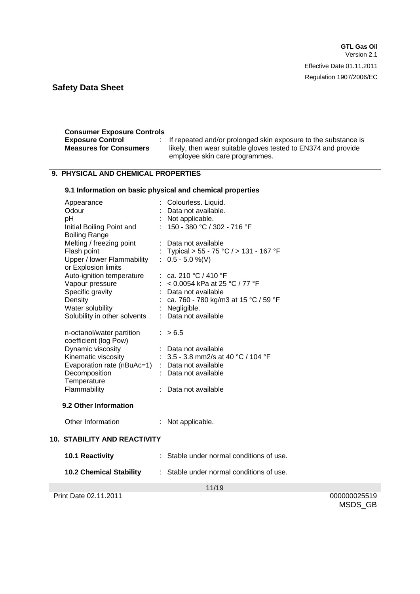| <b>Consumer Exposure Controls</b> |                                                                  |
|-----------------------------------|------------------------------------------------------------------|
| <b>Exposure Control</b>           | : If repeated and/or prolonged skin exposure to the substance is |
| <b>Measures for Consumers</b>     | likely, then wear suitable gloves tested to EN374 and provide    |
|                                   | employee skin care programmes.                                   |

### **9. PHYSICAL AND CHEMICAL PROPERTIES**

### **9.1 Information on basic physical and chemical properties**

| Appearance                                      | Colourless. Liquid.                                                                                |
|-------------------------------------------------|----------------------------------------------------------------------------------------------------|
| Odour                                           | : Data not available.                                                                              |
| pH                                              | : Not applicable.                                                                                  |
| Initial Boiling Point and                       | : $150 - 380$ °C / 302 - 716 °F                                                                    |
| <b>Boiling Range</b>                            |                                                                                                    |
| Melting / freezing point                        | : Data not available                                                                               |
| Flash point                                     | : Typical > 55 - 75 °C / > 131 - 167 °F                                                            |
| Upper / lower Flammability                      | $: 0.5 - 5.0 %$ (V)                                                                                |
| or Explosion limits                             |                                                                                                    |
|                                                 |                                                                                                    |
|                                                 | Auto-ignition temperature : ca. 210 °C / 410 °F<br>Vapour pressure : < 0.0054 kPa at 25 °C / 77 °F |
| Specific gravity                                | : Data not available                                                                               |
| Density                                         | : ca. 760 - 780 kg/m3 at 15 °C / 59 °F                                                             |
| Water solubility                                | : Negligible.                                                                                      |
| Solubility in other solvents                    | : Data not available                                                                               |
|                                                 |                                                                                                    |
| n-octanol/water partition                       | : > 6.5                                                                                            |
| coefficient (log Pow)                           |                                                                                                    |
| Dynamic viscosity                               | : Data not available                                                                               |
|                                                 | Kinematic viscosity : $3.5 - 3.8$ mm2/s at 40 °C / 104 °F                                          |
| Evaporation rate (nBuAc=1) : Data not available |                                                                                                    |
| Decomposition                                   | : Data not available                                                                               |
| Temperature                                     |                                                                                                    |
| Flammability                                    | : Data not available                                                                               |
|                                                 |                                                                                                    |
| 9.2 Other Information                           |                                                                                                    |
| Other Information                               | : Not applicable.                                                                                  |
|                                                 |                                                                                                    |
| <b>10. STABILITY AND REACTIVITY</b>             |                                                                                                    |

|                                | 11/10                                    |
|--------------------------------|------------------------------------------|
| <b>10.2 Chemical Stability</b> | : Stable under normal conditions of use. |
| <b>10.1 Reactivity</b>         | : Stable under normal conditions of use. |

Print Date 02.11.2011 000000025519

11/19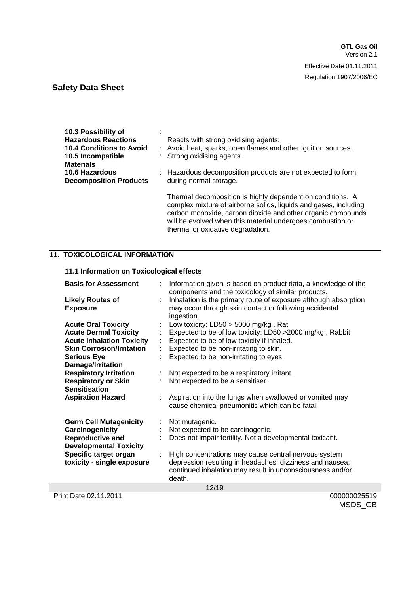| 10.3 Possibility of           |                                                                                                                                                                                               |
|-------------------------------|-----------------------------------------------------------------------------------------------------------------------------------------------------------------------------------------------|
| <b>Hazardous Reactions</b>    | Reacts with strong oxidising agents.                                                                                                                                                          |
| 10.4 Conditions to Avoid      | : Avoid heat, sparks, open flames and other ignition sources.                                                                                                                                 |
| 10.5 Incompatible             | : Strong oxidising agents.                                                                                                                                                                    |
| <b>Materials</b>              |                                                                                                                                                                                               |
| <b>10.6 Hazardous</b>         | : Hazardous decomposition products are not expected to form                                                                                                                                   |
| <b>Decomposition Products</b> | during normal storage.                                                                                                                                                                        |
|                               |                                                                                                                                                                                               |
|                               | Thermal decomposition is highly dependent on conditions. A<br>complex mixture of airborne solids, liquids and gases, including<br>carbon monoxide, carbon dioxide and other organic compounds |

thermal or oxidative degradation.

will be evolved when this material undergoes combustion or

#### **11. TOXICOLOGICAL INFORMATION**

### **11.1 Information on Toxicological effects**

| <b>Basis for Assessment</b>      |    | Information given is based on product data, a knowledge of the<br>components and the toxicology of similar products. |
|----------------------------------|----|----------------------------------------------------------------------------------------------------------------------|
| <b>Likely Routes of</b>          |    | Inhalation is the primary route of exposure although absorption                                                      |
| <b>Exposure</b>                  |    | may occur through skin contact or following accidental                                                               |
|                                  |    | ingestion.                                                                                                           |
| <b>Acute Oral Toxicity</b>       |    | Low toxicity: $LD50 > 5000$ mg/kg, Rat                                                                               |
| <b>Acute Dermal Toxicity</b>     |    | Expected to be of low toxicity: LD50 > 2000 mg/kg, Rabbit                                                            |
| <b>Acute Inhalation Toxicity</b> | ÷. | Expected to be of low toxicity if inhaled.                                                                           |
| <b>Skin Corrosion/Irritation</b> |    | Expected to be non-irritating to skin.                                                                               |
| <b>Serious Eye</b>               |    | Expected to be non-irritating to eyes.                                                                               |
| Damage/Irritation                |    |                                                                                                                      |
| <b>Respiratory Irritation</b>    | t. | Not expected to be a respiratory irritant.                                                                           |
| <b>Respiratory or Skin</b>       |    | Not expected to be a sensitiser.                                                                                     |
| <b>Sensitisation</b>             |    |                                                                                                                      |
| <b>Aspiration Hazard</b>         |    | Aspiration into the lungs when swallowed or vomited may                                                              |
|                                  |    | cause chemical pneumonitis which can be fatal.                                                                       |
|                                  |    |                                                                                                                      |
| <b>Germ Cell Mutagenicity</b>    | ÷  | Not mutagenic.                                                                                                       |
| Carcinogenicity                  | ÷  | Not expected to be carcinogenic.                                                                                     |
| <b>Reproductive and</b>          |    | Does not impair fertility. Not a developmental toxicant.                                                             |
| <b>Developmental Toxicity</b>    |    |                                                                                                                      |
| Specific target organ            |    | High concentrations may cause central nervous system                                                                 |
| toxicity - single exposure       |    | depression resulting in headaches, dizziness and nausea;                                                             |
|                                  |    | continued inhalation may result in unconsciousness and/or                                                            |
|                                  |    | death.                                                                                                               |
|                                  |    | 12/19                                                                                                                |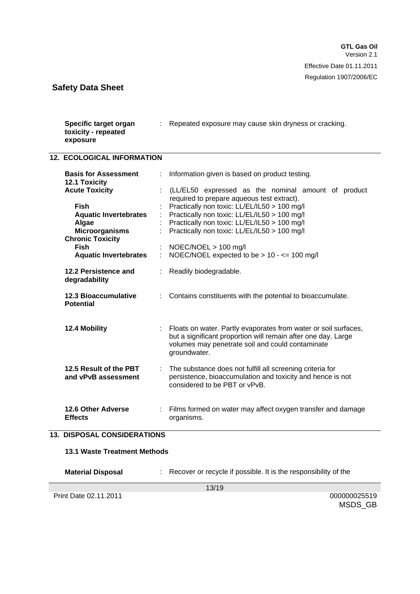| Specific target organ<br>toxicity - repeated<br>exposure | : Repeated exposure may cause skin dryness or cracking.                                                                                                                                                |
|----------------------------------------------------------|--------------------------------------------------------------------------------------------------------------------------------------------------------------------------------------------------------|
| <b>12. ECOLOGICAL INFORMATION</b>                        |                                                                                                                                                                                                        |
| <b>Basis for Assessment</b><br><b>12.1 Toxicity</b>      | Information given is based on product testing.                                                                                                                                                         |
| <b>Acute Toxicity</b>                                    | (LL/EL50 expressed as the nominal amount of product<br>required to prepare aqueous test extract).                                                                                                      |
| <b>Fish</b>                                              | Practically non toxic: LL/EL/IL50 > 100 mg/l                                                                                                                                                           |
| <b>Aquatic Invertebrates</b>                             | Practically non toxic: LL/EL/IL50 > 100 mg/l                                                                                                                                                           |
| Algae                                                    | Practically non toxic: LL/EL/IL50 > 100 mg/l                                                                                                                                                           |
| <b>Microorganisms</b>                                    | Practically non toxic: LL/EL/IL50 > 100 mg/l                                                                                                                                                           |
| <b>Chronic Toxicity</b>                                  |                                                                                                                                                                                                        |
| <b>Fish</b>                                              | $NOEC/NOEL > 100$ mg/l                                                                                                                                                                                 |
| <b>Aquatic Invertebrates</b>                             | NOEC/NOEL expected to be $> 10 - \le 100$ mg/l                                                                                                                                                         |
| 12.2 Persistence and<br>degradability                    | Readily biodegradable.                                                                                                                                                                                 |
| <b>12.3 Bioaccumulative</b><br><b>Potential</b>          | Contains constituents with the potential to bioaccumulate.                                                                                                                                             |
| 12.4 Mobility                                            | : Floats on water. Partly evaporates from water or soil surfaces,<br>but a significant proportion will remain after one day. Large<br>volumes may penetrate soil and could contaminate<br>groundwater. |
| 12.5 Result of the PBT<br>and vPvB assessment            | The substance does not fulfill all screening criteria for<br>persistence, bioaccumulation and toxicity and hence is not<br>considered to be PBT or vPvB.                                               |
| <b>12.6 Other Adverse</b><br><b>Effects</b>              | Films formed on water may affect oxygen transfer and damage<br>organisms.                                                                                                                              |

#### **13. DISPOSAL CONSIDERATIONS**

| 13.1 Waste Treatment Methods |  |
|------------------------------|--|
|                              |  |

**Material Disposal** : Recover or recycle if possible. It is the responsibility of the

13/19

Print Date 02.11.2011 000000025519

MSDS\_GB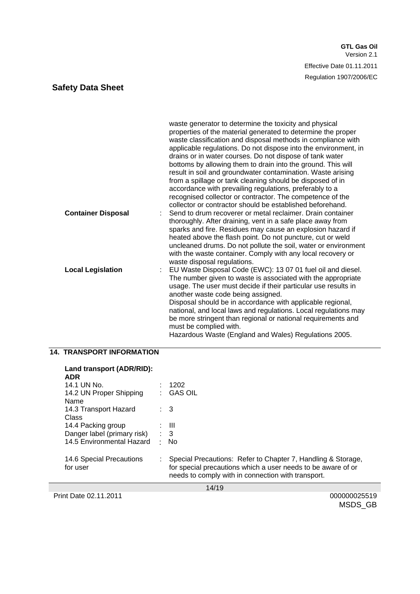|                               | waste generator to determine the toxicity and physical<br>properties of the material generated to determine the proper<br>waste classification and disposal methods in compliance with<br>applicable regulations. Do not dispose into the environment, in<br>drains or in water courses. Do not dispose of tank water<br>bottoms by allowing them to drain into the ground. This will<br>result in soil and groundwater contamination. Waste arising<br>from a spillage or tank cleaning should be disposed of in<br>accordance with prevailing regulations, preferably to a<br>recognised collector or contractor. The competence of the<br>collector or contractor should be established beforehand. |
|-------------------------------|--------------------------------------------------------------------------------------------------------------------------------------------------------------------------------------------------------------------------------------------------------------------------------------------------------------------------------------------------------------------------------------------------------------------------------------------------------------------------------------------------------------------------------------------------------------------------------------------------------------------------------------------------------------------------------------------------------|
| <b>Container Disposal</b>     | Send to drum recoverer or metal reclaimer. Drain container<br>thoroughly. After draining, vent in a safe place away from<br>sparks and fire. Residues may cause an explosion hazard if<br>heated above the flash point. Do not puncture, cut or weld<br>uncleaned drums. Do not pollute the soil, water or environment<br>with the waste container. Comply with any local recovery or<br>waste disposal regulations.                                                                                                                                                                                                                                                                                   |
| <b>Local Legislation</b><br>÷ | EU Waste Disposal Code (EWC): 13 07 01 fuel oil and diesel.<br>The number given to waste is associated with the appropriate<br>usage. The user must decide if their particular use results in<br>another waste code being assigned.<br>Disposal should be in accordance with applicable regional,<br>national, and local laws and regulations. Local regulations may<br>be more stringent than regional or national requirements and<br>must be complied with.<br>Hazardous Waste (England and Wales) Regulations 2005.                                                                                                                                                                                |

### **14. TRANSPORT INFORMATION**

| Land transport (ADR/RID):<br><b>ADR</b> |                             |                                                                                                                                                                                    |
|-----------------------------------------|-----------------------------|------------------------------------------------------------------------------------------------------------------------------------------------------------------------------------|
| 14.1 UN No.                             |                             | 1202                                                                                                                                                                               |
| 14.2 UN Proper Shipping<br>Name         |                             | <b>GAS OIL</b>                                                                                                                                                                     |
| 14.3 Transport Hazard<br>Class          |                             | $\therefore$ 3                                                                                                                                                                     |
| 14.4 Packing group                      |                             | $\pm$ 111                                                                                                                                                                          |
| Danger label (primary risk)             |                             | $\therefore$ 3                                                                                                                                                                     |
| 14.5 Environmental Hazard               | $\mathcal{C}_{\mathcal{A}}$ | No.                                                                                                                                                                                |
| 14.6 Special Precautions<br>for user    |                             | Special Precautions: Refer to Chapter 7, Handling & Storage,<br>for special precautions which a user needs to be aware of or<br>needs to comply with in connection with transport. |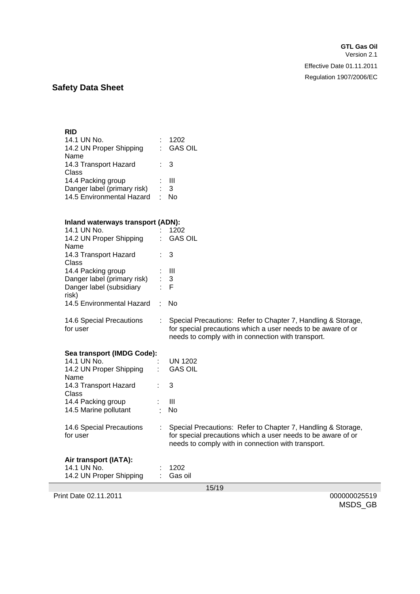#### **RID**

| 14.1 UN No.<br>14.2 UN Proper Shipping |    | 1202<br>: GAS OIL |
|----------------------------------------|----|-------------------|
| Name                                   |    |                   |
| 14.3 Transport Hazard                  |    | : 3               |
| Class                                  |    |                   |
| 14.4 Packing group                     |    | : III             |
| Danger label (primary risk)            | t. | -3                |
| 14.5 Environmental Hazard              | ٠  | N٥                |

#### **Inland waterways transport (ADN):**

| 14.1 UN No.                        |   | 1202                                                         |
|------------------------------------|---|--------------------------------------------------------------|
| 14.2 UN Proper Shipping            |   | <b>GAS OIL</b>                                               |
| Name                               |   |                                                              |
| 14.3 Transport Hazard              |   | $\therefore$ 3                                               |
| Class                              |   |                                                              |
| 14.4 Packing group                 |   | Ш                                                            |
| Danger label (primary risk)        |   | 3                                                            |
| Danger label (subsidiary           |   | -F                                                           |
| risk)<br>14.5 Environmental Hazard | ٠ | No                                                           |
|                                    |   |                                                              |
| 14.6 Special Precautions           |   | Special Precautions: Refer to Chapter 7, Handling & Storage, |
| for user                           |   | for special precautions which a user needs to be aware of or |
|                                    |   | needs to comply with in connection with transport.           |
|                                    |   |                                                              |
| Sea transport (IMDG Code):         |   |                                                              |
| 14.1 UN No.                        |   | <b>UN 1202</b>                                               |
| 14.2 UN Proper Shipping            |   | <b>GAS OIL</b>                                               |
| Name                               |   |                                                              |
| 14.3 Transport Hazard              |   | 3                                                            |
| Class                              |   |                                                              |
| 14.4 Packing group                 |   | $\mathbf{III}$                                               |
| 14.5 Marine pollutant              |   | No                                                           |
|                                    |   |                                                              |
| 14.6 Special Precautions           |   | Special Precautions: Refer to Chapter 7, Handling & Storage, |
| for user                           |   | for special precautions which a user needs to be aware of or |
|                                    |   | needs to comply with in connection with transport.           |
| Air transport (IATA):              |   |                                                              |
| 14.1 UN No.                        |   | 1202                                                         |
| 14.2 UN Proper Shipping            |   | Gas oil                                                      |
|                                    |   |                                                              |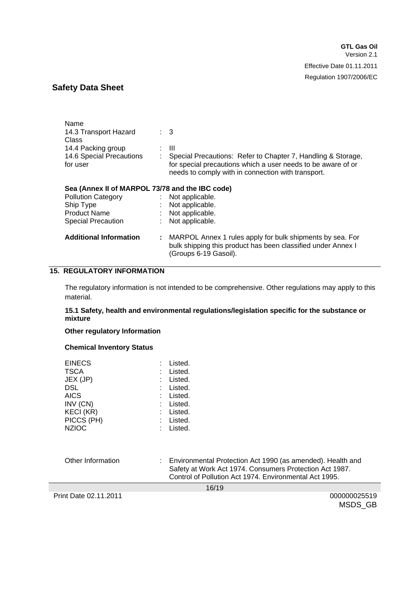| Name                                            |    |                                                                                                                                                    |
|-------------------------------------------------|----|----------------------------------------------------------------------------------------------------------------------------------------------------|
| 14.3 Transport Hazard                           |    | $\therefore$ 3                                                                                                                                     |
| Class                                           |    |                                                                                                                                                    |
| 14.4 Packing group                              |    | : III                                                                                                                                              |
| 14.6 Special Precautions                        |    | Special Precautions: Refer to Chapter 7, Handling & Storage,                                                                                       |
| for user                                        |    | for special precautions which a user needs to be aware of or                                                                                       |
|                                                 |    | needs to comply with in connection with transport.                                                                                                 |
| Sea (Annex II of MARPOL 73/78 and the IBC code) |    |                                                                                                                                                    |
| <b>Pollution Category</b>                       |    | : Not applicable.                                                                                                                                  |
| Ship Type                                       |    | Not applicable.                                                                                                                                    |
| <b>Product Name</b>                             |    | : Not applicable.                                                                                                                                  |
| <b>Special Precaution</b>                       | ÷. | Not applicable.                                                                                                                                    |
| <b>Additional Information</b>                   | t. | MARPOL Annex 1 rules apply for bulk shipments by sea. For<br>bulk shipping this product has been classified under Annex I<br>(Groups 6-19 Gasoil). |
|                                                 |    |                                                                                                                                                    |

### **15. REGULATORY INFORMATION**

The regulatory information is not intended to be comprehensive. Other regulations may apply to this material.

#### **15.1 Safety, health and environmental regulations/legislation specific for the substance or mixture**

#### **Other regulatory Information**

#### **Chemical Inventory Status**

| <b>EINECS</b><br><b>TSCA</b><br>JEX (JP)<br>DSL<br>AICS<br>INV (CN)<br>KECI (KR)<br>PICCS (PH) | Listed.<br>Listed.<br>: Listed.<br>: Listed.<br>: Listed.<br>: Listed.<br>: Listed.<br>: Listed. |
|------------------------------------------------------------------------------------------------|--------------------------------------------------------------------------------------------------|
| <b>NZIOC</b>                                                                                   | Listed.                                                                                          |

Other Information : Environmental Protection Act 1990 (as amended). Health and Safety at Work Act 1974. Consumers Protection Act 1987. Control of Pollution Act 1974. Environmental Act 1995.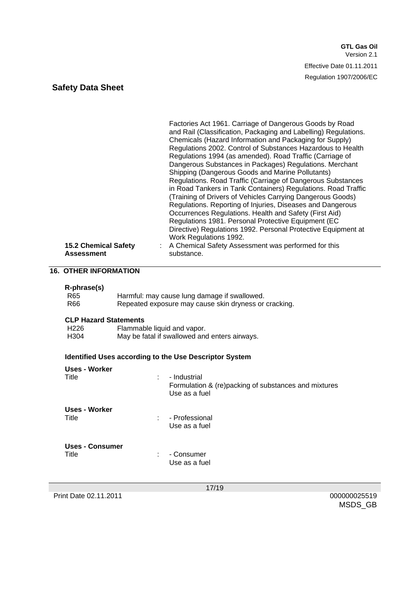| <b>15.2 Chemical Safety</b> | Factories Act 1961. Carriage of Dangerous Goods by Road<br>and Rail (Classification, Packaging and Labelling) Regulations.<br>Chemicals (Hazard Information and Packaging for Supply)<br>Regulations 2002. Control of Substances Hazardous to Health<br>Regulations 1994 (as amended). Road Traffic (Carriage of<br>Dangerous Substances in Packages) Regulations. Merchant<br>Shipping (Dangerous Goods and Marine Pollutants)<br>Regulations. Road Traffic (Carriage of Dangerous Substances<br>in Road Tankers in Tank Containers) Regulations. Road Traffic<br>(Training of Drivers of Vehicles Carrying Dangerous Goods)<br>Regulations. Reporting of Injuries, Diseases and Dangerous<br>Occurrences Regulations. Health and Safety (First Aid)<br>Regulations 1981. Personal Protective Equipment (EC<br>Directive) Regulations 1992. Personal Protective Equipment at<br>Work Regulations 1992.<br>A Chemical Safety Assessment was performed for this |
|-----------------------------|----------------------------------------------------------------------------------------------------------------------------------------------------------------------------------------------------------------------------------------------------------------------------------------------------------------------------------------------------------------------------------------------------------------------------------------------------------------------------------------------------------------------------------------------------------------------------------------------------------------------------------------------------------------------------------------------------------------------------------------------------------------------------------------------------------------------------------------------------------------------------------------------------------------------------------------------------------------|
| <b>Assessment</b>           | substance.                                                                                                                                                                                                                                                                                                                                                                                                                                                                                                                                                                                                                                                                                                                                                                                                                                                                                                                                                     |

# **16. OTHER INFORMATION**

#### **R-phrase(s)**

| _______<br>R65 | Harmful: may cause lung damage if swallowed.          |
|----------------|-------------------------------------------------------|
| R66            | Repeated exposure may cause skin dryness or cracking. |

#### **CLP Hazard Statements**

| H <sub>226</sub> | Flammable liquid and vapor.                   |
|------------------|-----------------------------------------------|
| H <sub>304</sub> | May be fatal if swallowed and enters airways. |

### **Identified Uses according to the Use Descriptor System**

| Uses - Worker<br>Title   | ÷ | - Industrial<br>Formulation & (re)packing of substances and mixtures<br>Use as a fuel |
|--------------------------|---|---------------------------------------------------------------------------------------|
| Uses - Worker<br>Title   | ÷ | - Professional<br>Use as a fuel                                                       |
| Uses - Consumer<br>Title | ÷ | - Consumer<br>Use as a fuel                                                           |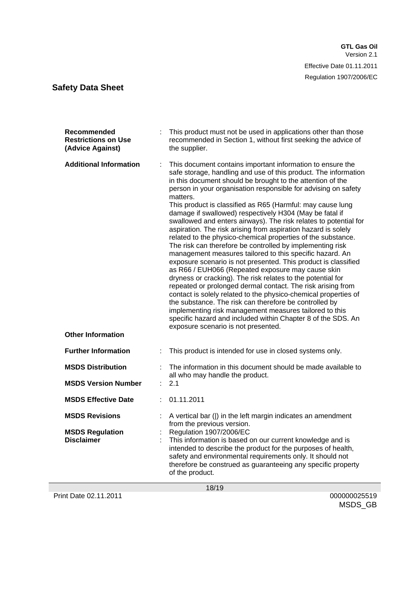| Recommended<br><b>Restrictions on Use</b><br>(Advice Against) |   | This product must not be used in applications other than those<br>recommended in Section 1, without first seeking the advice of<br>the supplier.                                                                                                                                                                                                                                                                                                                                                                                                                                                                                                                                                                                                                                                                                                                                                                                                                                                                                                                                                                                                                                                                                                                                    |
|---------------------------------------------------------------|---|-------------------------------------------------------------------------------------------------------------------------------------------------------------------------------------------------------------------------------------------------------------------------------------------------------------------------------------------------------------------------------------------------------------------------------------------------------------------------------------------------------------------------------------------------------------------------------------------------------------------------------------------------------------------------------------------------------------------------------------------------------------------------------------------------------------------------------------------------------------------------------------------------------------------------------------------------------------------------------------------------------------------------------------------------------------------------------------------------------------------------------------------------------------------------------------------------------------------------------------------------------------------------------------|
| <b>Additional Information</b><br><b>Other Information</b>     | ÷ | This document contains important information to ensure the<br>safe storage, handling and use of this product. The information<br>in this document should be brought to the attention of the<br>person in your organisation responsible for advising on safety<br>matters.<br>This product is classified as R65 (Harmful: may cause lung<br>damage if swallowed) respectively H304 (May be fatal if<br>swallowed and enters airways). The risk relates to potential for<br>aspiration. The risk arising from aspiration hazard is solely<br>related to the physico-chemical properties of the substance.<br>The risk can therefore be controlled by implementing risk<br>management measures tailored to this specific hazard. An<br>exposure scenario is not presented. This product is classified<br>as R66 / EUH066 (Repeated exposure may cause skin<br>dryness or cracking). The risk relates to the potential for<br>repeated or prolonged dermal contact. The risk arising from<br>contact is solely related to the physico-chemical properties of<br>the substance. The risk can therefore be controlled by<br>implementing risk management measures tailored to this<br>specific hazard and included within Chapter 8 of the SDS. An<br>exposure scenario is not presented. |
| <b>Further Information</b>                                    |   | This product is intended for use in closed systems only.                                                                                                                                                                                                                                                                                                                                                                                                                                                                                                                                                                                                                                                                                                                                                                                                                                                                                                                                                                                                                                                                                                                                                                                                                            |
| <b>MSDS Distribution</b><br><b>MSDS Version Number</b>        | t | The information in this document should be made available to<br>all who may handle the product.<br>2.1                                                                                                                                                                                                                                                                                                                                                                                                                                                                                                                                                                                                                                                                                                                                                                                                                                                                                                                                                                                                                                                                                                                                                                              |
| <b>MSDS Effective Date</b>                                    |   | 01.11.2011                                                                                                                                                                                                                                                                                                                                                                                                                                                                                                                                                                                                                                                                                                                                                                                                                                                                                                                                                                                                                                                                                                                                                                                                                                                                          |
| <b>MSDS Revisions</b>                                         |   | A vertical bar ( ) in the left margin indicates an amendment<br>from the previous version.                                                                                                                                                                                                                                                                                                                                                                                                                                                                                                                                                                                                                                                                                                                                                                                                                                                                                                                                                                                                                                                                                                                                                                                          |
| <b>MSDS Regulation</b><br><b>Disclaimer</b>                   |   | Regulation 1907/2006/EC<br>This information is based on our current knowledge and is<br>intended to describe the product for the purposes of health,<br>safety and environmental requirements only. It should not<br>therefore be construed as guaranteeing any specific property<br>of the product.                                                                                                                                                                                                                                                                                                                                                                                                                                                                                                                                                                                                                                                                                                                                                                                                                                                                                                                                                                                |